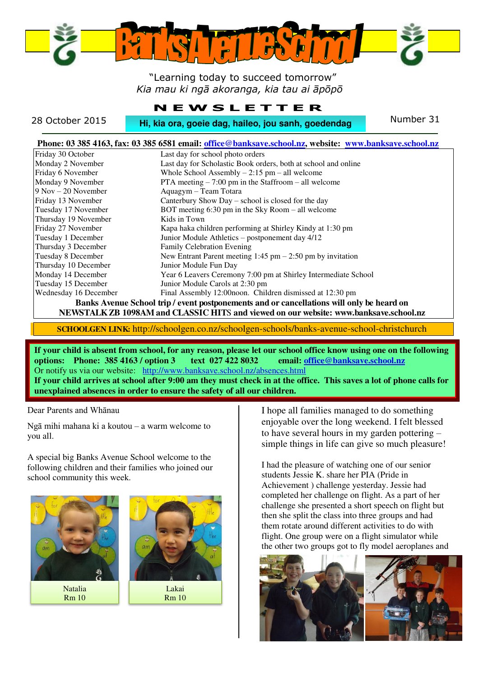

 "Learning today to succeed tomorrow" *Kia mau ki ngā akoranga, kia tau ai āpōpō* 

#### **N E W S L E T T E R**

28 October 2015 **Hi, kia ora, goeie dag, haileo, jou sanh, goedendag** Number 31

| Phone: 03 385 4163, fax: 03 385 6581 email: office@banksave.school.nz, website: www.banksave.school.nz |                                                                |
|--------------------------------------------------------------------------------------------------------|----------------------------------------------------------------|
| Friday 30 October                                                                                      | Last day for school photo orders                               |
| Monday 2 November                                                                                      | Last day for Scholastic Book orders, both at school and online |
| Friday 6 November                                                                                      | Whole School Assembly $-2:15$ pm $-$ all welcome               |
| Monday 9 November                                                                                      | PTA meeting $-7:00$ pm in the Staffroom $-$ all welcome        |
| $9$ Nov $-20$ November                                                                                 | Aquagym - Team Totara                                          |
| Friday 13 November                                                                                     | Canterbury Show Day – school is closed for the day             |
| Tuesday 17 November                                                                                    | BOT meeting $6:30 \text{ pm}$ in the Sky Room – all welcome    |
| Thursday 19 November                                                                                   | Kids in Town                                                   |
| Friday 27 November                                                                                     | Kapa haka children performing at Shirley Kindy at 1:30 pm      |
| Tuesday 1 December                                                                                     | Junior Module Athletics – postponement day 4/12                |
| Thursday 3 December                                                                                    | <b>Family Celebration Evening</b>                              |
| Tuesday 8 December                                                                                     | New Entrant Parent meeting $1:45$ pm $- 2:50$ pm by invitation |
| Thursday 10 December                                                                                   | Junior Module Fun Day                                          |
| Monday 14 December                                                                                     | Year 6 Leavers Ceremony 7:00 pm at Shirley Intermediate School |
| Tuesday 15 December                                                                                    | Junior Module Carols at 2:30 pm                                |
| Wednesday 16 December                                                                                  | Final Assembly 12:00 noon. Children dismissed at 12:30 pm      |
| Banks Avenue School trip/event postponements and or cancellations will only be heard on                |                                                                |

**NEWSTALK ZB 1098AM and CLASSIC HIT**S **and viewed on our website: www.banksave.school.nz** 

**SCHOOLGEN LINK:** http://schoolgen.co.nz/schoolgen-schools/banks-avenue-school-christchurch

**If your child is absent from school, for any reason, please let our school office know using one on the following options: Phone: 385 4163 / option 3 text 027 422 8032 email[: office@banksave.school.nz](mailto:office@banksave.school.nz)**  Or notify us via our website: <http://www.banksave.school.nz/absences.html> **If your child arrives at school after 9:00 am they must check in at the office. This saves a lot of phone calls for** 

Dear Parents and Whānau

Ngā mihi mahana ki a koutou – a warm welcome to you all.

A special big Banks Avenue School welcome to the following children and their families who joined our school community this week.





**unexplained absences in order to ensure the safety of all our children.** 

I hope all families managed to do something enjoyable over the long weekend. I felt blessed to have several hours in my garden pottering – simple things in life can give so much pleasure!

I had the pleasure of watching one of our senior students Jessie K. share her PIA (Pride in Achievement ) challenge yesterday. Jessie had completed her challenge on flight. As a part of her challenge she presented a short speech on flight but then she split the class into three groups and had them rotate around different activities to do with flight. One group were on a flight simulator while the other two groups got to fly model aeroplanes and

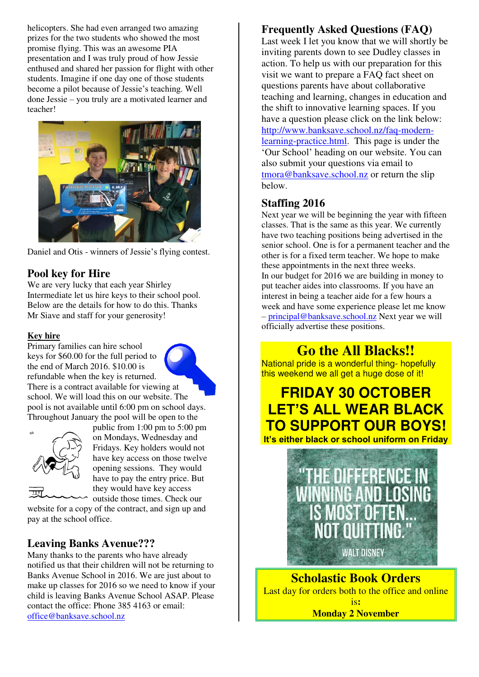helicopters. She had even arranged two amazing prizes for the two students who showed the most promise flying. This was an awesome PIA presentation and I was truly proud of how Jessie enthused and shared her passion for flight with other students. Imagine if one day one of those students become a pilot because of Jessie's teaching. Well done Jessie – you truly are a motivated learner and teacher!



Daniel and Otis - winners of Jessie's flying contest.

#### **Pool key for Hire**

We are very lucky that each year Shirley Intermediate let us hire keys to their school pool. Below are the details for how to do this. Thanks Mr Siave and staff for your generosity!

#### **Key hire**

Primary families can hire school keys for \$60.00 for the full period to the end of March 2016. \$10.00 is refundable when the key is returned.

There is a contract available for viewing at school. We will load this on our website. The pool is not available until 6:00 pm on school days. Throughout January the pool will be open to the



public from 1:00 pm to 5:00 pm on Mondays, Wednesday and Fridays. Key holders would not have key access on those twelve opening sessions. They would have to pay the entry price. But they would have key access outside those times. Check our

website for a copy of the contract, and sign up and pay at the school office.

#### **Leaving Banks Avenue???**

Many thanks to the parents who have already notified us that their children will not be returning to Banks Avenue School in 2016. We are just about to make up classes for 2016 so we need to know if your child is leaving Banks Avenue School ASAP. Please contact the office: Phone 385 4163 or email: [office@banksave.school.nz](mailto:office@banksave.school.nz)

#### **Frequently Asked Questions (FAQ)**

Last week I let you know that we will shortly be inviting parents down to see Dudley classes in action. To help us with our preparation for this visit we want to prepare a FAQ fact sheet on questions parents have about collaborative teaching and learning, changes in education and the shift to innovative learning spaces. If you have a question please click on the link below: [http://www.banksave.school.nz/faq-modern](http://www.banksave.school.nz/faq-modern-learning-practice.html)[learning-practice.html.](http://www.banksave.school.nz/faq-modern-learning-practice.html) This page is under the 'Our School' heading on our website. You can also submit your questions via email to [tmora@banksave.school.nz](mailto:tmora@banksave.school.nz) or return the slip below.

#### **Staffing 2016**

Next year we will be beginning the year with fifteen classes. That is the same as this year. We currently have two teaching positions being advertised in the senior school. One is for a permanent teacher and the other is for a fixed term teacher. We hope to make these appointments in the next three weeks. In our budget for 2016 we are building in money to put teacher aides into classrooms. If you have an interest in being a teacher aide for a few hours a week and have some experience please let me know – [principal@banksave.school.nz](mailto:principal@banksave.school.nz) Next year we will officially advertise these positions.

**Go the All Blacks!!** 

National pride is a wonderful thing- hopefully this weekend we all get a huge dose of it!

## **FRIDAY 30 OCTOBER LET'S ALL WEAR BLACK TO SUPPORT OUR BOYS!**





**Scholastic Book Orders**  Last day for orders both to the office and online is**: Monday 2 November**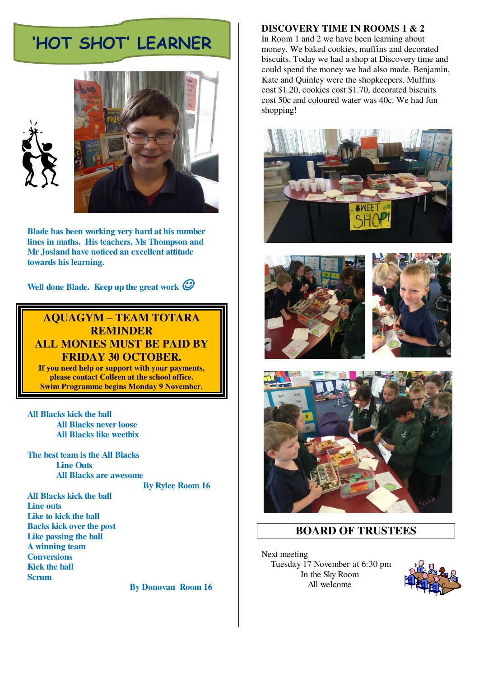# **'HOT SHOT' LEARNER**





**Blade has been working very hard at his number lines in maths. His teachers, Ms Thompson and Mr Josland have noticed an excellent attitude towards his learning.** 

**Well done Blade. Keep up the great work** 

#### **AQUAGYM – TEAM TOTARA REMINDER ALL MONIES MUST BE PAID BY FRIDAY 30 OCTOBER.**

**If you need help or support with your payments, please contact Colleen at the school office. Swim Programme begins Monday 9 November.** 

**All Blacks kick the ball All Blacks never loose All Blacks like weetbix**

**The best team is the All Blacks Line Outs All Blacks are awesome By Rylee Room 16** 

**All Blacks kick the ball Line outs Like to kick the ball Backs kick over the post Like passing the ball A winning team Conversions Kick the ball Scrum** 

 **By Donovan Room 16** 

#### **DISCOVERY TIME IN ROOMS 1 & 2**

In Room 1 and 2 we have been learning about money. We baked cookies, muffins and decorated biscuits. Today we had a shop at Discovery time and could spend the money we had also made. Benjamin, Kate and Quinley were the shopkeepers. Muffins cost \$1.20, cookies cost \$1.70, decorated biscuits cost 50c and coloured water was 40c. We had fun shopping!









#### **BOARD OF TRUSTEES**

Next meeting Tuesday 17 November at 6:30 pm In the Sky Room All welcome